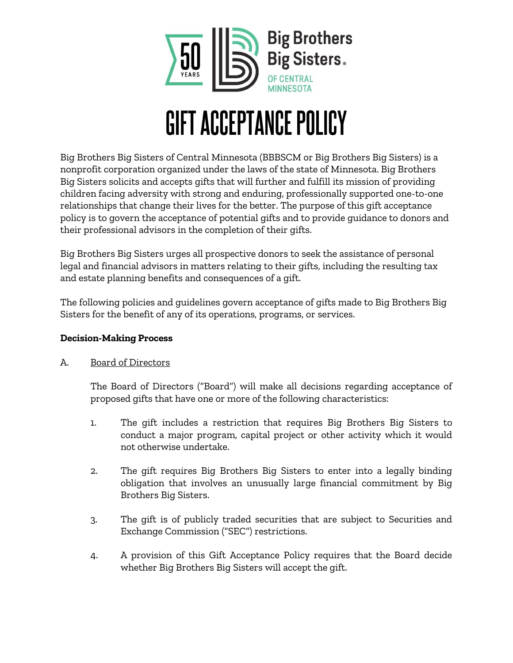

# GIFT ACCEPTANCE POLICY

Big Brothers Big Sisters of Central Minnesota (BBBSCM or Big Brothers Big Sisters) is a nonprofit corporation organized under the laws of the state of Minnesota. Big Brothers Big Sisters solicits and accepts gifts that will further and fulfill its mission of providing children facing adversity with strong and enduring, professionally supported one-to-one relationships that change their lives for the better. The purpose of this gift acceptance policy is to govern the acceptance of potential gifts and to provide guidance to donors and their professional advisors in the completion of their gifts.

Big Brothers Big Sisters urges all prospective donors to seek the assistance of personal legal and financial advisors in matters relating to their gifts, including the resulting tax and estate planning benefits and consequences of a gift.

The following policies and guidelines govern acceptance of gifts made to Big Brothers Big Sisters for the benefit of any of its operations, programs, or services.

## **Decision-Making Process**

## A. Board of Directors

The Board of Directors ("Board") will make all decisions regarding acceptance of proposed gifts that have one or more of the following characteristics:

- 1. The gift includes a restriction that requires Big Brothers Big Sisters to conduct a major program, capital project or other activity which it would not otherwise undertake.
- 2. The gift requires Big Brothers Big Sisters to enter into a legally binding obligation that involves an unusually large financial commitment by Big Brothers Big Sisters.
- 3. The gift is of publicly traded securities that are subject to Securities and Exchange Commission ("SEC") restrictions.
- 4. A provision of this Gift Acceptance Policy requires that the Board decide whether Big Brothers Big Sisters will accept the gift.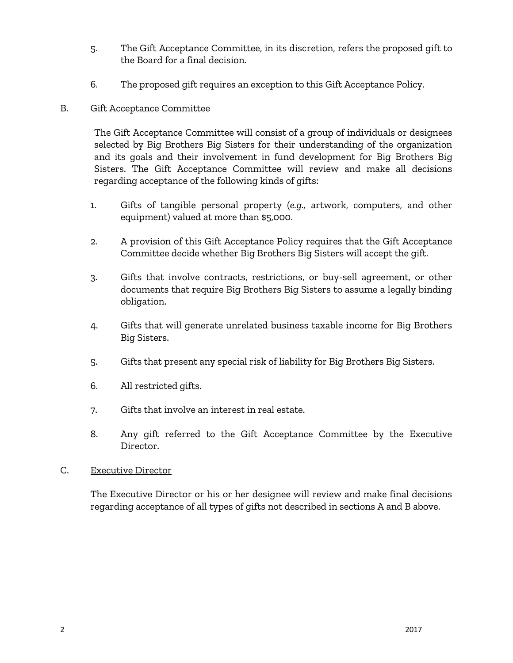- 5. The Gift Acceptance Committee, in its discretion, refers the proposed gift to the Board for a final decision.
- 6. The proposed gift requires an exception to this Gift Acceptance Policy.

#### B. Gift Acceptance Committee

The Gift Acceptance Committee will consist of a group of individuals or designees selected by Big Brothers Big Sisters for their understanding of the organization and its goals and their involvement in fund development for Big Brothers Big Sisters. The Gift Acceptance Committee will review and make all decisions regarding acceptance of the following kinds of gifts:

- 1. Gifts of tangible personal property (*e.g.,* artwork, computers, and other equipment) valued at more than \$5,000.
- 2. A provision of this Gift Acceptance Policy requires that the Gift Acceptance Committee decide whether Big Brothers Big Sisters will accept the gift.
- 3. Gifts that involve contracts, restrictions, or buy-sell agreement, or other documents that require Big Brothers Big Sisters to assume a legally binding obligation.
- 4. Gifts that will generate unrelated business taxable income for Big Brothers Big Sisters.
- 5. Gifts that present any special risk of liability for Big Brothers Big Sisters.
- 6. All restricted gifts.
- 7. Gifts that involve an interest in real estate.
- 8. Any gift referred to the Gift Acceptance Committee by the Executive Director.

#### C. Executive Director

The Executive Director or his or her designee will review and make final decisions regarding acceptance of all types of gifts not described in sections A and B above.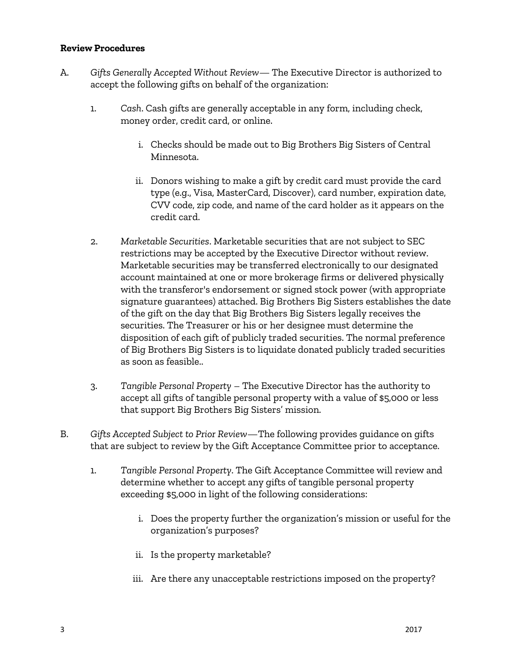#### **Review Procedures**

- A. *Gifts Generally Accepted Without Review* The Executive Director is authorized to accept the following gifts on behalf of the organization:
	- 1. *Cash*. Cash gifts are generally acceptable in any form, including check, money order, credit card, or online.
		- i. Checks should be made out to Big Brothers Big Sisters of Central Minnesota.
		- ii. Donors wishing to make a gift by credit card must provide the card type (e.g., Visa, MasterCard, Discover), card number, expiration date, CVV code, zip code, and name of the card holder as it appears on the credit card.
	- 2. *Marketable Securities*. Marketable securities that are not subject to SEC restrictions may be accepted by the Executive Director without review. Marketable securities may be transferred electronically to our designated account maintained at one or more brokerage firms or delivered physically with the transferor's endorsement or signed stock power (with appropriate signature guarantees) attached. Big Brothers Big Sisters establishes the date of the gift on the day that Big Brothers Big Sisters legally receives the securities. The Treasurer or his or her designee must determine the disposition of each gift of publicly traded securities. The normal preference of Big Brothers Big Sisters is to liquidate donated publicly traded securities as soon as feasible..
	- 3. *Tangible Personal Property* The Executive Director has the authority to accept all gifts of tangible personal property with a value of \$5,000 or less that support Big Brothers Big Sisters' mission.
- B. *Gifts Accepted Subject to Prior Review*—The following provides guidance on gifts that are subject to review by the Gift Acceptance Committee prior to acceptance.
	- 1. *Tangible Personal Property*. The Gift Acceptance Committee will review and determine whether to accept any gifts of tangible personal property exceeding \$5,000 in light of the following considerations:
		- i. Does the property further the organization's mission or useful for the organization's purposes?
		- ii. Is the property marketable?
		- iii. Are there any unacceptable restrictions imposed on the property?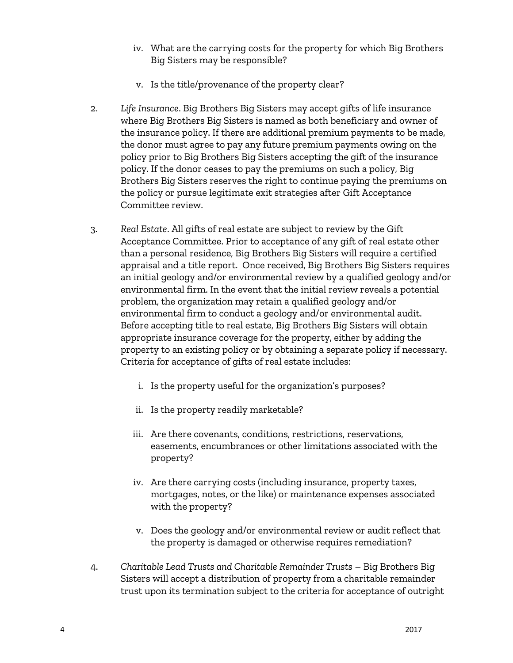- iv. What are the carrying costs for the property for which Big Brothers Big Sisters may be responsible?
- v. Is the title/provenance of the property clear?
- 2. *Life Insurance*. Big Brothers Big Sisters may accept gifts of life insurance where Big Brothers Big Sisters is named as both beneficiary and owner of the insurance policy. If there are additional premium payments to be made, the donor must agree to pay any future premium payments owing on the policy prior to Big Brothers Big Sisters accepting the gift of the insurance policy. If the donor ceases to pay the premiums on such a policy, Big Brothers Big Sisters reserves the right to continue paying the premiums on the policy or pursue legitimate exit strategies after Gift Acceptance Committee review.
- 3. *Real Estate*. All gifts of real estate are subject to review by the Gift Acceptance Committee. Prior to acceptance of any gift of real estate other than a personal residence, Big Brothers Big Sisters will require a certified appraisal and a title report. Once received, Big Brothers Big Sisters requires an initial geology and/or environmental review by a qualified geology and/or environmental firm. In the event that the initial review reveals a potential problem, the organization may retain a qualified geology and/or environmental firm to conduct a geology and/or environmental audit. Before accepting title to real estate, Big Brothers Big Sisters will obtain appropriate insurance coverage for the property, either by adding the property to an existing policy or by obtaining a separate policy if necessary. Criteria for acceptance of gifts of real estate includes:
	- i. Is the property useful for the organization's purposes?
	- ii. Is the property readily marketable?
	- iii. Are there covenants, conditions, restrictions, reservations, easements, encumbrances or other limitations associated with the property?
	- iv. Are there carrying costs (including insurance, property taxes, mortgages, notes, or the like) or maintenance expenses associated with the property?
	- v. Does the geology and/or environmental review or audit reflect that the property is damaged or otherwise requires remediation?
- 4. *Charitable Lead Trusts and Charitable Remainder Trusts* Big Brothers Big Sisters will accept a distribution of property from a charitable remainder trust upon its termination subject to the criteria for acceptance of outright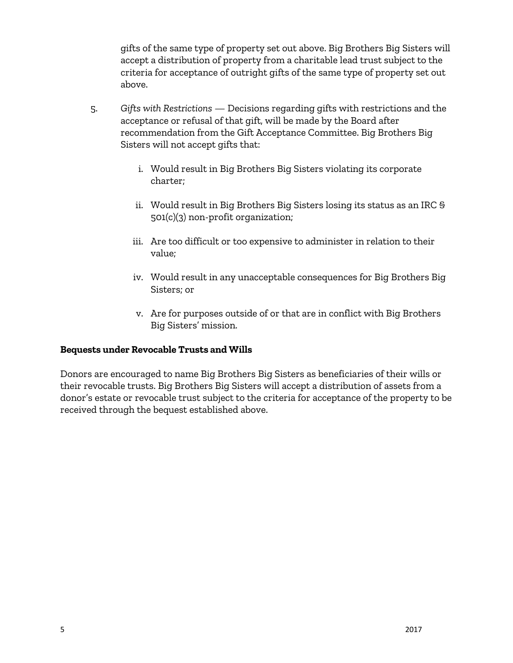gifts of the same type of property set out above. Big Brothers Big Sisters will accept a distribution of property from a charitable lead trust subject to the criteria for acceptance of outright gifts of the same type of property set out above.

- 5. *Gifts with Restrictions*  Decisions regarding gifts with restrictions and the acceptance or refusal of that gift, will be made by the Board after recommendation from the Gift Acceptance Committee. Big Brothers Big Sisters will not accept gifts that:
	- i. Would result in Big Brothers Big Sisters violating its corporate charter;
	- ii. Would result in Big Brothers Big Sisters losing its status as an IRC § 501(c)(3) non-profit organization;
	- iii. Are too difficult or too expensive to administer in relation to their value;
	- iv. Would result in any unacceptable consequences for Big Brothers Big Sisters; or
	- v. Are for purposes outside of or that are in conflict with Big Brothers Big Sisters' mission.

## **Bequests under Revocable Trusts and Wills**

Donors are encouraged to name Big Brothers Big Sisters as beneficiaries of their wills or their revocable trusts. Big Brothers Big Sisters will accept a distribution of assets from a donor's estate or revocable trust subject to the criteria for acceptance of the property to be received through the bequest established above.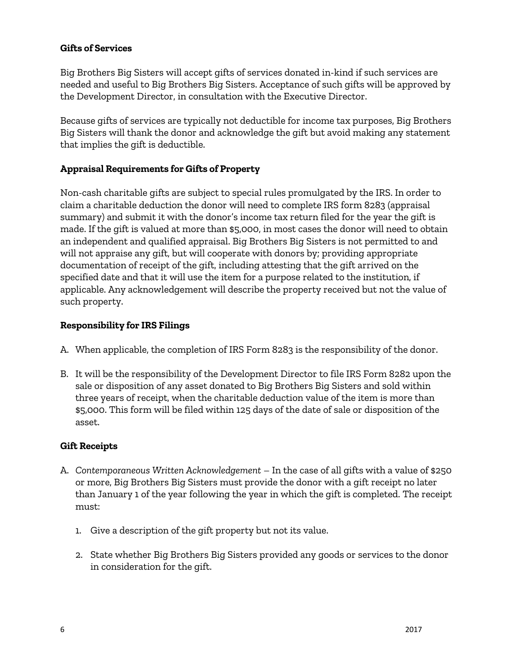#### **Gifts of Services**

Big Brothers Big Sisters will accept gifts of services donated in-kind if such services are needed and useful to Big Brothers Big Sisters. Acceptance of such gifts will be approved by the Development Director, in consultation with the Executive Director.

Because gifts of services are typically not deductible for income tax purposes, Big Brothers Big Sisters will thank the donor and acknowledge the gift but avoid making any statement that implies the gift is deductible.

# **Appraisal Requirements for Gifts of Property**

Non-cash charitable gifts are subject to special rules promulgated by the IRS. In order to claim a charitable deduction the donor will need to complete IRS form 8283 (appraisal summary) and submit it with the donor's income tax return filed for the year the gift is made. If the gift is valued at more than \$5,000, in most cases the donor will need to obtain an independent and qualified appraisal. Big Brothers Big Sisters is not permitted to and will not appraise any gift, but will cooperate with donors by; providing appropriate documentation of receipt of the gift, including attesting that the gift arrived on the specified date and that it will use the item for a purpose related to the institution, if applicable. Any acknowledgement will describe the property received but not the value of such property.

## **Responsibility for IRS Filings**

- A. When applicable, the completion of IRS Form 8283 is the responsibility of the donor.
- B. It will be the responsibility of the Development Director to file IRS Form 8282 upon the sale or disposition of any asset donated to Big Brothers Big Sisters and sold within three years of receipt, when the charitable deduction value of the item is more than \$5,000. This form will be filed within 125 days of the date of sale or disposition of the asset.

## **Gift Receipts**

- A. *Contemporaneous Written Acknowledgement* In the case of all gifts with a value of \$250 or more, Big Brothers Big Sisters must provide the donor with a gift receipt no later than January 1 of the year following the year in which the gift is completed. The receipt must:
	- 1. Give a description of the gift property but not its value.
	- 2. State whether Big Brothers Big Sisters provided any goods or services to the donor in consideration for the gift.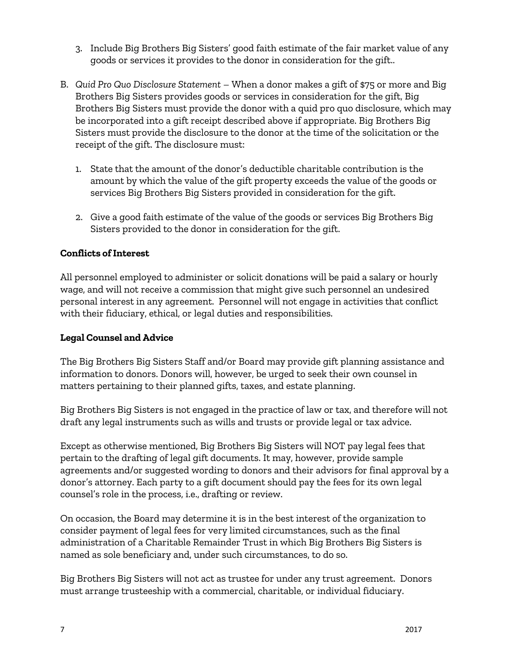- 3. Include Big Brothers Big Sisters' good faith estimate of the fair market value of any goods or services it provides to the donor in consideration for the gift..
- B. *Quid Pro Quo Disclosure Statement* When a donor makes a gift of \$75 or more and Big Brothers Big Sisters provides goods or services in consideration for the gift, Big Brothers Big Sisters must provide the donor with a quid pro quo disclosure, which may be incorporated into a gift receipt described above if appropriate. Big Brothers Big Sisters must provide the disclosure to the donor at the time of the solicitation or the receipt of the gift. The disclosure must:
	- 1. State that the amount of the donor's deductible charitable contribution is the amount by which the value of the gift property exceeds the value of the goods or services Big Brothers Big Sisters provided in consideration for the gift.
	- 2. Give a good faith estimate of the value of the goods or services Big Brothers Big Sisters provided to the donor in consideration for the gift.

# **Conflicts of Interest**

All personnel employed to administer or solicit donations will be paid a salary or hourly wage, and will not receive a commission that might give such personnel an undesired personal interest in any agreement. Personnel will not engage in activities that conflict with their fiduciary, ethical, or legal duties and responsibilities.

# **Legal Counsel and Advice**

The Big Brothers Big Sisters Staff and/or Board may provide gift planning assistance and information to donors. Donors will, however, be urged to seek their own counsel in matters pertaining to their planned gifts, taxes, and estate planning.

Big Brothers Big Sisters is not engaged in the practice of law or tax, and therefore will not draft any legal instruments such as wills and trusts or provide legal or tax advice.

Except as otherwise mentioned, Big Brothers Big Sisters will NOT pay legal fees that pertain to the drafting of legal gift documents. It may, however, provide sample agreements and/or suggested wording to donors and their advisors for final approval by a donor's attorney. Each party to a gift document should pay the fees for its own legal counsel's role in the process, i.e., drafting or review.

On occasion, the Board may determine it is in the best interest of the organization to consider payment of legal fees for very limited circumstances, such as the final administration of a Charitable Remainder Trust in which Big Brothers Big Sisters is named as sole beneficiary and, under such circumstances, to do so.

Big Brothers Big Sisters will not act as trustee for under any trust agreement. Donors must arrange trusteeship with a commercial, charitable, or individual fiduciary.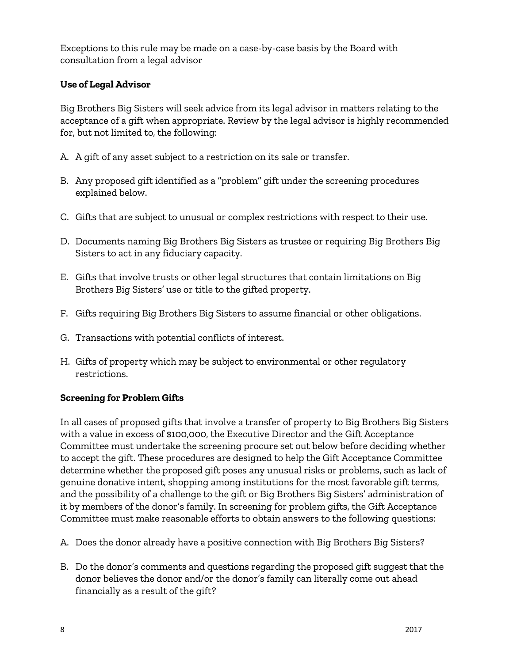Exceptions to this rule may be made on a case-by-case basis by the Board with consultation from a legal advisor

# **Use of Legal Advisor**

Big Brothers Big Sisters will seek advice from its legal advisor in matters relating to the acceptance of a gift when appropriate. Review by the legal advisor is highly recommended for, but not limited to, the following:

- A. A gift of any asset subject to a restriction on its sale or transfer.
- B. Any proposed gift identified as a "problem" gift under the screening procedures explained below.
- C. Gifts that are subject to unusual or complex restrictions with respect to their use.
- D. Documents naming Big Brothers Big Sisters as trustee or requiring Big Brothers Big Sisters to act in any fiduciary capacity.
- E. Gifts that involve trusts or other legal structures that contain limitations on Big Brothers Big Sisters' use or title to the gifted property.
- F. Gifts requiring Big Brothers Big Sisters to assume financial or other obligations.
- G. Transactions with potential conflicts of interest.
- H. Gifts of property which may be subject to environmental or other regulatory restrictions.

# **Screening for Problem Gifts**

In all cases of proposed gifts that involve a transfer of property to Big Brothers Big Sisters with a value in excess of \$100,000, the Executive Director and the Gift Acceptance Committee must undertake the screening procure set out below before deciding whether to accept the gift. These procedures are designed to help the Gift Acceptance Committee determine whether the proposed gift poses any unusual risks or problems, such as lack of genuine donative intent, shopping among institutions for the most favorable gift terms, and the possibility of a challenge to the gift or Big Brothers Big Sisters' administration of it by members of the donor's family. In screening for problem gifts, the Gift Acceptance Committee must make reasonable efforts to obtain answers to the following questions:

- A. Does the donor already have a positive connection with Big Brothers Big Sisters?
- B. Do the donor's comments and questions regarding the proposed gift suggest that the donor believes the donor and/or the donor's family can literally come out ahead financially as a result of the gift?